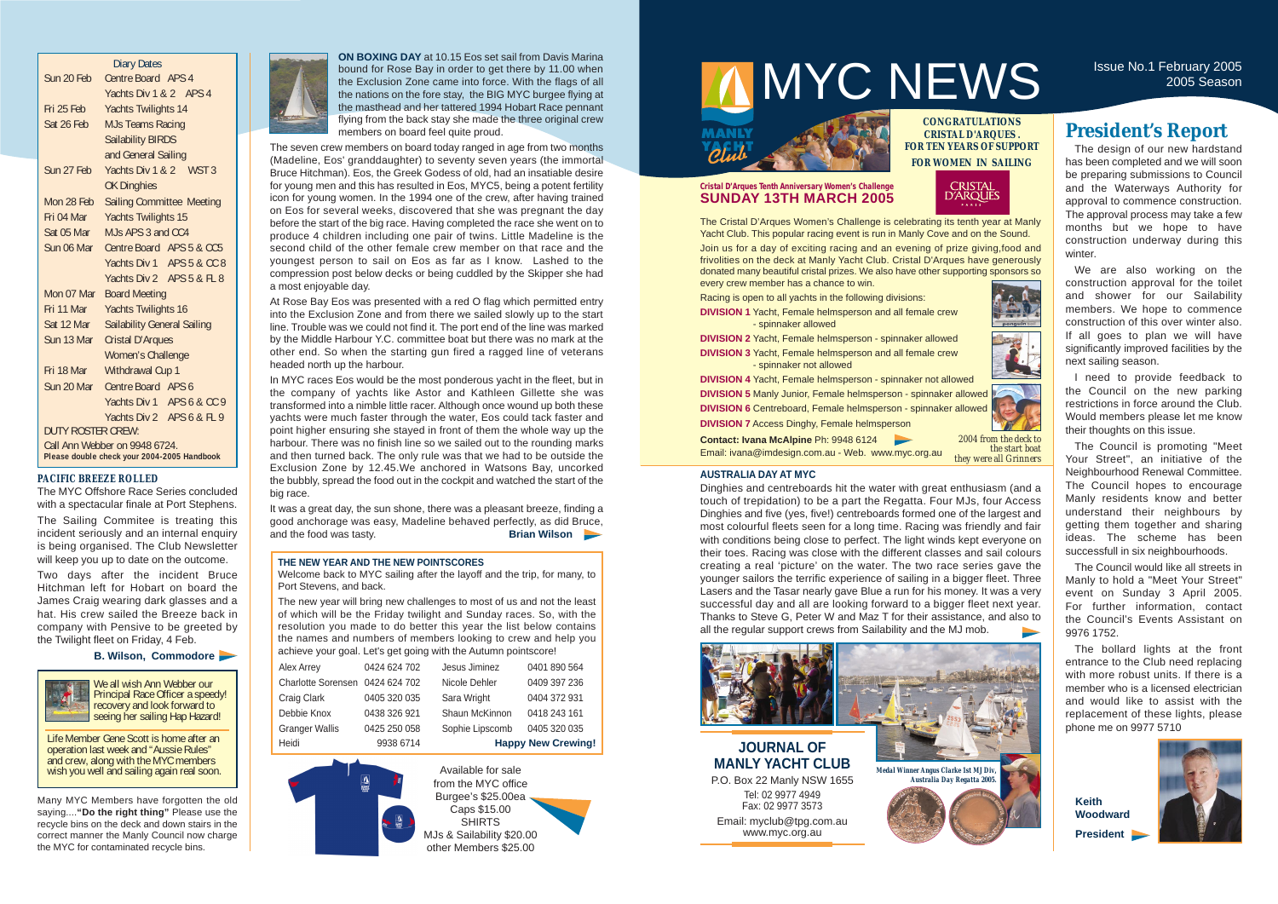#### **THE NEW YEAR AND THE NEW POINTSCORES**

Welcome back to MYC sailing after the layoff and the trip, for many, to Port Stevens, and back.

The new year will bring new challenges to most of us and not the least of which will be the Friday twilight and Sunday races. So, with the resolution you made to do better this year the list below contains the names and numbers of members looking to crew and help you achieve your goal. Let's get going with the Autumn pointscore!

The design of our new hardstand has been completed and we will soon be preparing submissions to Council and the Waterways Authority for approval to commence construction. The approval process may take a few months but we hope to have construction underway during this winter.

|                   | <b>Diary Dates</b>                                                           |
|-------------------|------------------------------------------------------------------------------|
| Sun 20 Feb        | Centre Board APS 4                                                           |
|                   | Yachts Div 1 & 2 APS 4                                                       |
| Fri 25 Feb        | <b>Yachts Twilights 14</b>                                                   |
| Sat 26 Feb        | <b>MJs Teams Racing</b>                                                      |
|                   | <b>Sailability BIRDS</b>                                                     |
|                   | and General Sailing                                                          |
| Sun 27 Feb        | Yachts Div 1 & 2 WST 3                                                       |
|                   | <b>OK Dinghies</b>                                                           |
| Mon 28 Feb        | <b>Sailing Committee Meeting</b>                                             |
| Fri 04 Mar        | <b>Yachts Twilights 15</b>                                                   |
| Sat 05 Mar        | M Is APS 3 and CC4                                                           |
| Sun 06 Mar        | Centre Board APS 5 & CC5                                                     |
|                   | Yachts Div 1 APS 5 & CC 8                                                    |
|                   | Yachts Div 2 APS 5 & FL 8                                                    |
| Mon 07 Mar        | <b>Board Meeting</b>                                                         |
| Fri 11 Mar        | <b>Yachts Twilights 16</b>                                                   |
| Sat 12 Mar        | <b>Sailability General Sailing</b>                                           |
| Sun 13 Mar        | <b>Cristal D'Arques</b>                                                      |
|                   | <b>Women's Challenge</b>                                                     |
| Fri 18 Mar        | Withdrawal Cup 1                                                             |
| Sun 20 Mar        | Centre Board APS 6                                                           |
|                   | Yachts Div 1 APS 6 & CC 9                                                    |
|                   | Yachts Div 2 APS 6 & FL 9                                                    |
| DUTY ROSTER CREW: |                                                                              |
|                   | Call Ann Webber on 9948 6724.<br>Please double check your 2004-2005 Handbook |

### **JOURNAL OF MANLY YACHT CLUB**

P.O. Box 22 Manly NSW 1655 Tel: 02 9977 4949 Fax: 02 9977 3573 Email: myclub@tpg.com.au www.myc.org.au

## **President's Report**

We are also working on the construction approval for the toilet and shower for our Sailability members. We hope to commence construction of this over winter also. If all goes to plan we will have significantly improved facilities by the next sailing season.

I need to provide feedback to the Council on the new parking restrictions in force around the Club. Would members please let me know their thoughts on this issue.

The Council is promoting "Meet Your Street", an initiative of the Neighbourhood Renewal Committee. The Council hopes to encourage Manly residents know and better understand their neighbours by getting them together and sharing ideas. The scheme has been successfull in six neighbourhoods.

The Council would like all streets in Manly to hold a "Meet Your Street" event on Sunday 3 April 2005. For further information, contact the Council's Events Assistant on 9976 1752.

The bollard lights at the front entrance to the Club need replacing with more robust units. If there is a member who is a licensed electrician and would like to assist with the replacement of these lights, please phone me on 9977 5710

**Keith Woodward President** 



### **CONGRATULATIONS CRISTAL D'ARQUES . FOR TEN YEARS OF SUPPORT FOR WOMEN IN SAILING**





#### **Cristal D'Arques Tenth Anniversary Women's Challenge SUNDAY 13TH MARCH 2005**

The Cristal D'Arques Women's Challenge is celebrating its tenth year at Manly Yacht Club. This popular racing event is run in Manly Cove and on the Sound.

It was a great day, the sun shone, there was a pleasant breeze, finding a good anchorage was easy, Madeline behaved perfectly, as did Bruce, and the food was tasty. **Brian Wilson** 

Join us for a day of exciting racing and an evening of prize giving,food and frivolities on the deck at Manly Yacht Club. Cristal D'Arques have generously donated many beautiful cristal prizes. We also have other supporting sponsors so every crew member has a chance to win.

Racing is open to all yachts in the following divisions:

**DIVISION 1** Yacht, Female helmsperson and all female crew - spinnaker allowed

**DIVISION 2** Yacht, Female helmsperson - spinnaker allowed **DIVISION 3** Yacht, Female helmsperson and all female crew

- spinnaker not allowed

**DIVISION 4** Yacht, Female helmsperson - spinnaker not allowed **DIVISION 5** Manly Junior, Female helmsperson - spinnaker allowed **DIVISION 6** Centreboard, Female helmsperson - spinnaker allowed **DIVISION 7** Access Dinghy, Female helmsperson

**Contact: Ivana McAlpine** Ph: 9948 6124  $\rightarrow$ Email: ivana@imdesign.com.au - Web. www.myc.org.au

# Issue No.1 February 2005

**ON BOXING DAY** at 10.15 Eos set sail from Davis Marina bound for Rose Bay in order to get there by 11.00 when the Exclusion Zone came into force. With the flags of all the nations on the fore stay, the BIG MYC burgee flying at the masthead and her tattered 1994 Hobart Race pennant flying from the back stay she made the three original crew members on board feel quite proud.

Life Member Gene Scott is home after an operation last week and "Aussie Rules" and crew, along with the MYC members wish you well and sailing again real soon.

The seven crew members on board today ranged in age from two months (Madeline, Eos' granddaughter) to seventy seven years (the immortal Bruce Hitchman). Eos, the Greek Godess of old, had an insatiable desire for young men and this has resulted in Eos, MYC5, being a potent fertility icon for young women. In the 1994 one of the crew, after having trained on Eos for several weeks, discovered that she was pregnant the day before the start of the big race. Having completed the race she went on to produce 4 children including one pair of twins. Little Madeline is the second child of the other female crew member on that race and the youngest person to sail on Eos as far as I know. Lashed to the compression post below decks or being cuddled by the Skipper she had a most enjoyable day.

At Rose Bay Eos was presented with a red O flag which permitted entry into the Exclusion Zone and from there we sailed slowly up to the start line. Trouble was we could not find it. The port end of the line was marked by the Middle Harbour Y.C. committee boat but there was no mark at the other end. So when the starting gun fired a ragged line of veterans headed north up the harbour.

In MYC races Eos would be the most ponderous yacht in the fleet, but in the company of yachts like Astor and Kathleen Gillette she was transformed into a nimble little racer. Although once wound up both these yachts were much faster through the water, Eos could tack faster and point higher ensuring she stayed in front of them the whole way up the harbour. There was no finish line so we sailed out to the rounding marks and then turned back. The only rule was that we had to be outside the Exclusion Zone by 12.45.We anchored in Watsons Bay, uncorked the bubbly, spread the food out in the cockpit and watched the start of the big race.

| Heidi                           | 9938 6714    |                 | <b>Happy New Crewing!</b> |
|---------------------------------|--------------|-----------------|---------------------------|
| <b>Granger Wallis</b>           | 0425 250 058 | Sophie Lipscomb | 0405 320 035              |
| Debbie Knox                     | 0438 326 921 | Shaun McKinnon  | 0418 243 161              |
| Craig Clark                     | 0405 320 035 | Sara Wright     | 0404 372 931              |
| Charlotte Sorensen 0424 624 702 |              | Nicole Dehler   | 0409 397 236              |
| Alex Arrey                      | 0424 624 702 | Jesus Jiminez   | 0401 890 564              |



#### *PACIFIC BREEZE ROLLED*

The MYC Offshore Race Series concluded with a spectacular finale at Port Stephens.

The Sailing Commitee is treating this incident seriously and an internal enquiry is being organised. The Club Newsletter will keep you up to date on the outcome.

Two days after the incident Bruce Hitchman left for Hobart on board the James Craig wearing dark glasses and a hat. His crew sailed the Breeze back in company with Pensive to be greeted by the Twilight fleet on Friday, 4 Feb.

#### **B. Wilson, Commodore**



Available for sale from the MYC office Burgee's \$25.00ea Caps \$15.00 SHIRTS MJs & Sailability \$20.00 other Members \$25.00

MYC NEWS ISSUE NO.1 February 2005



#### **AUSTRALIA DAY AT MYC**

Dinghies and centreboards hit the water with great enthusiasm (and a touch of trepidation) to be a part the Regatta. Four MJs, four Access Dinghies and five (yes, five!) centreboards formed one of the largest and most colourful fleets seen for a long time. Racing was friendly and fair with conditions being close to perfect. The light winds kept everyone on their toes. Racing was close with the different classes and sail colours creating a real 'picture' on the water. The two race series gave the younger sailors the terrific experience of sailing in a bigger fleet. Three Lasers and the Tasar nearly gave Blue a run for his money. It was a very successful day and all are looking forward to a bigger fleet next year. Thanks to Steve G, Peter W and Maz T for their assistance, and also to all the regular support crews from Sailability and the MJ mob.









*2004 from the deck to the start boat* 

*they were all Grinners*

Many MYC Members have forgotten the old saying....**"Do the right thing"** Please use the recycle bins on the deck and down stairs in the correct manner the Manly Council now charge the MYC for contaminated recycle bins.



We all wish Ann Webber our Principal Race Officer a speedy! recovery and look forward to seeing her sailing Hap Hazard!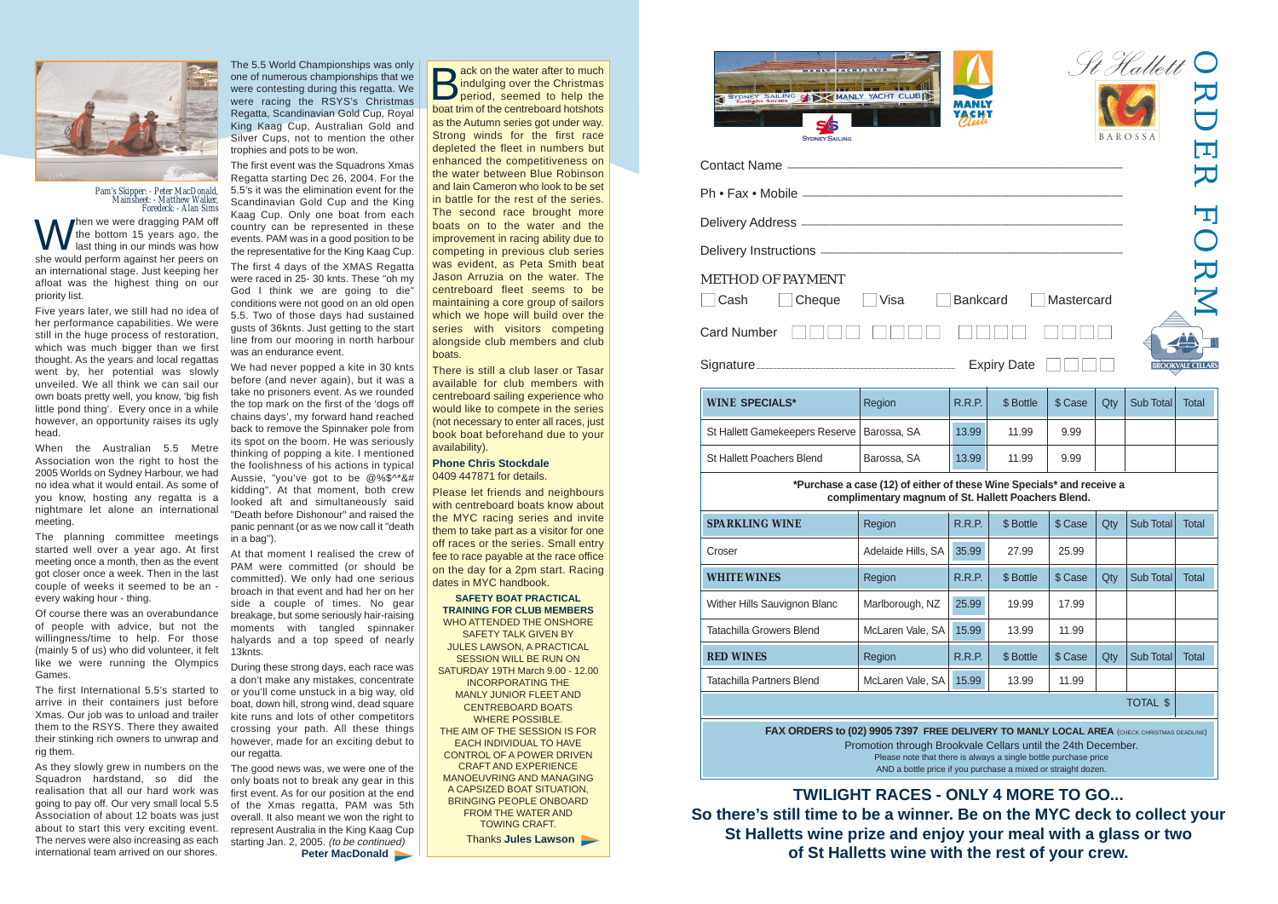

Signature\_

**FAX ORDERS to (02) 9905 7397 FREE DEI** Promotion through Brooky Please note that there is AND a bottle price if you purchase a mixed or straight dozen.

Then we were dragging PAM off the bottom 15 years ago, the last thing in our minds was how she would perform against her peers on an international stage. Just keeping her afloat was the highest thing on our priority list.

| <b>WINE SPECIALS*</b>                        | Region      | <b>R.R.P.</b> | \$ Bottle | \$ Case | Qty | Sub Total | Total |
|----------------------------------------------|-------------|---------------|-----------|---------|-----|-----------|-------|
| St Hallett Gamekeepers Reserve   Barossa, SA |             | 13.99         | 11.99     | 9.99    |     |           |       |
| <b>St Hallett Poachers Blend</b>             | Barossa, SA | 13.99         | 11.99     | 9.99    |     |           |       |

### \*Purchase a case (12) of either of the complimentary magnum of S<sup>t</sup>

| <b>SPARKLING WINE</b>           | Region             | R.R.P.        | \$ Bottle | \$ Case | Qty | <b>Sub Total</b> | Total |
|---------------------------------|--------------------|---------------|-----------|---------|-----|------------------|-------|
| Croser                          | Adelaide Hills, SA | 35.99         | 27.99     | 25.99   |     |                  |       |
| <b>WHITE WINES</b>              | Region             | <b>R.R.P.</b> | \$ Bottle | \$ Case | Qty | <b>Sub Total</b> | Total |
| Wither Hills Sauvignon Blanc    | Marlborough, NZ    | 25.99         | 19.99     | 17.99   |     |                  |       |
| <b>Tatachilla Growers Blend</b> | McLaren Vale, SA   | 15.99         | 13.99     | 11.99   |     |                  |       |
| <b>RED WINES</b>                | Region             | <b>R.R.P.</b> | \$ Bottle | \$ Case | Qty | <b>Sub Total</b> | Total |
| Tatachilla Partners Blend       | McLaren Vale, SA   | 15.99         | 13.99     | 11.99   |     |                  |       |

We had never popped a kite in 30 knts before (and never again), but it was a take no prisoners event. As we rounded the top mark on the first of the 'dogs off chains days', my forward hand reached back to remove the Spinnaker pole from its spot on the boom. He was seriously thinking of popping a kite. I mentioned the foolishness of his actions in typical Aussie, "you've got to be @%\$^\*&# kidding". At that moment, both crew looked aft and simultaneously said "Death before Dishonour" and raised the panic pennant (or as we now call it "death in a bag").

|                |                                                                                                                                         |            |     | St Hallett 0<br><b>BAROSSA</b> | $\blacksquare$<br>K                           |
|----------------|-----------------------------------------------------------------------------------------------------------------------------------------|------------|-----|--------------------------------|-----------------------------------------------|
|                |                                                                                                                                         |            |     |                                | 亏                                             |
|                |                                                                                                                                         |            |     |                                |                                               |
|                |                                                                                                                                         |            |     |                                | ORI                                           |
| <b>inkcard</b> | <b>Expiry Date</b>                                                                                                                      | Mastercard |     |                                | $\mathbf{\Sigma}$<br><b>BROOKVALE CELLARS</b> |
| R.P.           | \$Bottle                                                                                                                                | \$ Case    | Qty | Sub Total                      | <b>Total</b>                                  |
| .99            | 11.99                                                                                                                                   | 9.99       |     |                                |                                               |
| .99            | 11.99                                                                                                                                   | 9.99       |     |                                |                                               |
|                | ese Wine Specials* and receive a<br>t. Hallett Poachers Blend.                                                                          |            |     |                                |                                               |
| R.P.           | \$Bottle                                                                                                                                | \$ Case    | Qty | Sub Total                      | <b>Total</b>                                  |
| .99            | 27.99                                                                                                                                   | 25.99      |     |                                |                                               |
| R.P.           | \$Bottle                                                                                                                                | \$ Case    | Qty | Sub Total                      | <b>Total</b>                                  |
| .99            | 19.99                                                                                                                                   | 17.99      |     |                                |                                               |
| .99            | 13.99                                                                                                                                   | 11.99      |     |                                |                                               |
| R.P.           | \$Bottle                                                                                                                                | \$ Case    | Qty | Sub Total                      | <b>Total</b>                                  |
| .99            | 13.99                                                                                                                                   | 11.99      |     |                                |                                               |
|                |                                                                                                                                         |            |     | <b>TOTAL \$</b>                |                                               |
|                | LIVERY TO MANLY LOCAL AREA (CHECK CHRISTMAS DEADLINE)<br>rale Cellars until the 24th December.<br>always a single bottle purchase price |            |     |                                |                                               |

only boats not to break any gear in this first event. As for our position at the end of the Xmas regatta, PAM was 5th overall. It also meant we won the right to represent Australia in the King Kaag Cup starting Jan. 2, 2005. (to be continued) **Peter MacDonald** 

Five years later, we still had no idea of her performance capabilities. We were still in the huge process of restoration, which was much bigger than we first thought. As the years and local regattas went by, her potential was slowly unveiled. We all think we can sail our own boats pretty well, you know, 'big fish little pond thing'. Every once in a while however, an opportunity raises its ugly head.

ack on the water after to much indulging over the Christmas period, seemed to help the boat trim of the centreboard hotshots as the Autumn series got under way. Strong winds for the first race depleted the fleet in numbers but enhanced the competitiveness on the water between Blue Robinson and Iain Cameron who look to be set in battle for the rest of the series. The second race brought more boats on to the water and the improvement in racing ability due to competing in previous club series was evident, as Peta Smith beat Jason Arruzia on the water. The centreboard fleet seems to be maintaining a core group of sailors which we hope will build over the series with visitors competing alongside club members and club boats.

When the Australian 5.5 Metre Association won the right to host the 2005 Worlds on Sydney Harbour, we had no idea what it would entail. As some of you know, hosting any regatta is a nightmare let alone an international meeting.

The planning committee meetings started well over a year ago. At first meeting once a month, then as the event got closer once a week. Then in the last couple of weeks it seemed to be an every waking hour - thing.

Of course there was an overabundance of people with advice, but not the willingness/time to help. For those (mainly 5 of us) who did volunteer, it felt like we were running the Olympics Games.

The first International 5.5's started to arrive in their containers just before Xmas. Our job was to unload and trailer them to the RSYS. There they awaited their stinking rich owners to unwrap and rig them.

As they slowly grew in numbers on the The good news was, we were one of the Squadron hardstand, so did the realisation that all our hard work was going to pay off. Our very small local 5.5 Association of about 12 boats was just about to start this very exciting event. The nerves were also increasing as each international team arrived on our shores.



*Pam's Skipper: - Peter MacDonald, Mainsheet: - Matthew Walker, Foredeck: - Alan Sims*

The 5.5 World Championships was only one of numerous championships that we were contesting during this regatta. We were racing the RSYS's Christmas Regatta, Scandinavian Gold Cup, Royal King Kaag Cup, Australian Gold and Silver Cups, not to mention the other trophies and pots to be won.

The first event was the Squadrons Xmas Regatta starting Dec 26, 2004. For the 5.5's it was the elimination event for the Scandinavian Gold Cup and the King Kaag Cup. Only one boat from each country can be represented in these events. PAM was in a good position to be the representative for the King Kaag Cup. The first 4 days of the XMAS Regatta were raced in 25- 30 knts. These "oh my God I think we are going to die" conditions were not good on an old open 5.5. Two of those days had sustained gusts of 36knts. Just getting to the start line from our mooring in north harbour was an endurance event.

At that moment I realised the crew of PAM were committed (or should be committed). We only had one serious broach in that event and had her on her side a couple of times. No gear breakage, but some seriously hair-raising moments with tangled spinnaker halyards and a top speed of nearly 13knts.

During these strong days, each race was a don't make any mistakes, concentrate or you'll come unstuck in a big way, old boat, down hill, strong wind, dead square kite runs and lots of other competitors crossing your path. All these things however, made for an exciting debut to our regatta.

There is still a club laser or Tasar available for club members with centreboard sailing experience who would like to compete in the series (not necessary to enter all races, just book boat beforehand due to your availability).

#### **Phone Chris Stockdale** 0409 447871 for details.

Please let friends and neighbours with centreboard boats know about the MYC racing series and invite them to take part as a visitor for one off races or the series. Small entry fee to race payable at the race office on the day for a 2pm start. Racing dates in MYC handbook.

#### **SAFETY BOAT PRACTICAL TRAINING FOR CLUB MEMBERS**

WHO ATTENDED THE ONSHORE SAFETY TALK GIVEN BY JULES LAWSON, A PRACTICAL SESSION WILL BE RUN ON SATURDAY 19TH March 9.00 - 12.00 INCORPORATING THE MANLY JUNIOR FLEET AND CENTREBOARD BOATS WHERE POSSIBLE. THE AIM OF THE SESSION IS FOR EACH INDIVIDUAL TO HAVE CONTROL OF A POWER DRIVEN CRAFT AND EXPERIENCE MANOEUVRING AND MANAGING A CAPSIZED BOAT SITUATION, BRINGING PEOPLE ONBOARD FROM THE WATER AND TOWING CRAFT.

Thanks **Jules Lawson**

**TWILIGHT RACES - ONLY 4 MORE TO GO... So there's still time to be a winner. Be on the MYC deck to collect your St Halletts wine prize and enjoy your meal with a glass or two of St Halletts wine with the rest of your crew.**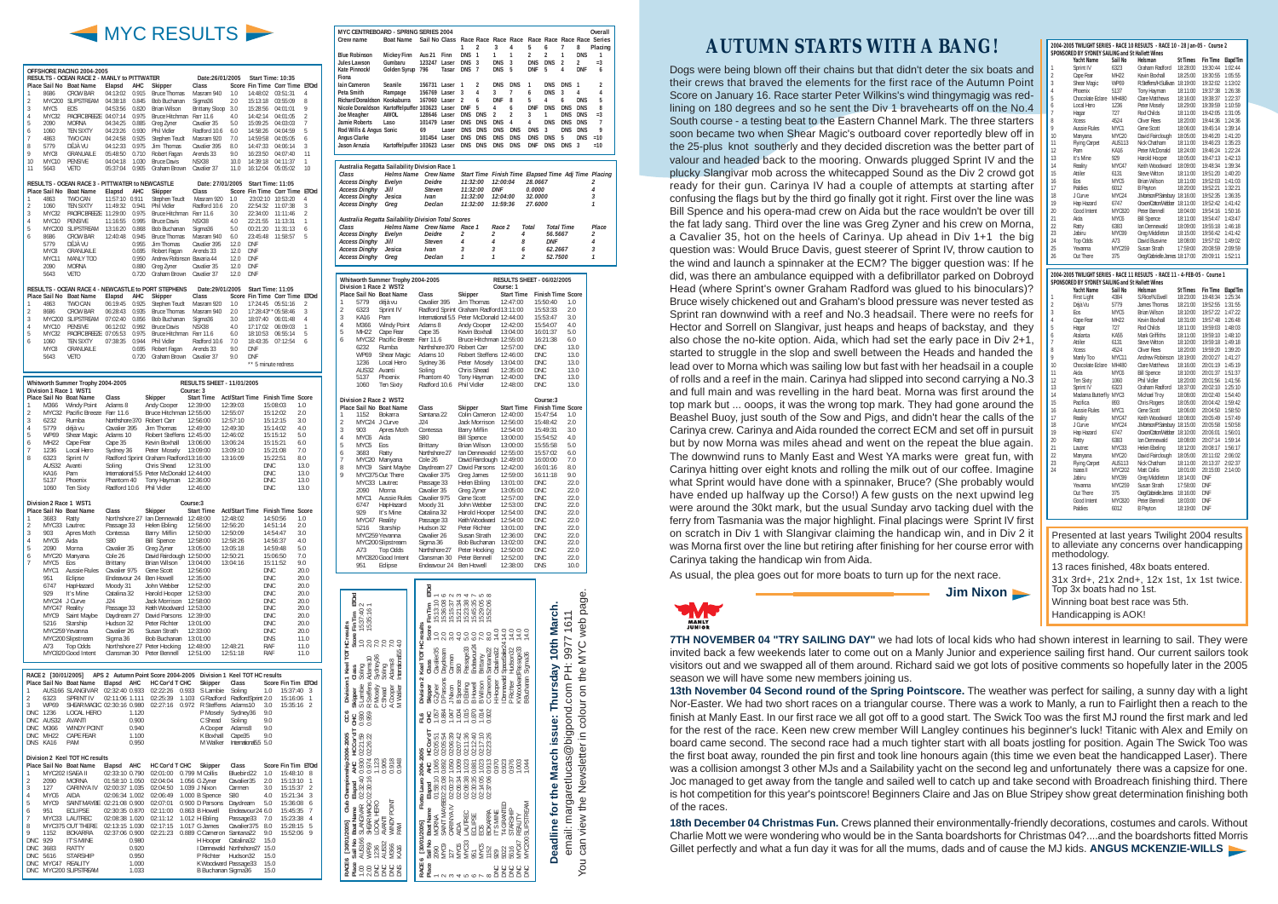## **AUTUMN STARTS WITH A BANG!**

Dogs were being blown off their chains but that didn't deter the six boats and their crews that braved the elements for the first race of the Autumn Point Score on January 16. Race starter Peter Wilkins's wind thingymagig was redlining on 180 degrees and so he sent the Div 1 bravehearts off on the No.4 South course - a testing beat to the Eastern Channel Mark. The three starters soon became two when Shear Magic's outboard cover reportedly blew off in the 25-plus knot southerly and they decided discretion was the better part of valour and headed back to the mooring. Onwards plugged Sprint IV and the plucky Slangivar mob across the whitecapped Sound as the Div 2 crowd got ready for their gun. Carinya IV had a couple of attempts at starting after confusing the flags but by the third go finally got it right. First over the line was Bill Spence and his opera-mad crew on Aida but the race wouldn't be over till the fat lady sang. Third over the line was Greg Zyner and his crew on Morna, a Cavalier 35, hot on the heels of Carinya. Up ahead in Div 1+1 the big question was: Would Bruce Davis, guest steerer of Sprint IV, throw caution to the wind and launch a spinnaker at the ECM? The bigger question was: If he did, was there an ambulance equipped with a defibrillator parked on Dobroyd Head (where Sprint's owner Graham Radford was glued to his binoculars)? Bruce wisely chickened out and Graham's blood pressure was never tested as Sprint ran downwind with a reef and No.3 headsail. There were no reefs for Hector and Sorrell on Slangivar, just heaps and heaps of backstay, and they also chose the no-kite option. Aida, which had set the early pace in Div 2+1, started to struggle in the slop and swell between the Heads and handed the lead over to Morna which was sailing low but fast with her headsail in a couple of rolls and a reef in the main. Carinya had slipped into second carrying a No.3 and full main and was revelling in the hard beat. Morna was first around the top mark but ... ooops, it was the wrong top mark. They had gone around the Beashel Buoy, just south of the Sow and Pigs, and didn't hear the calls of the Carinya crew. Carinya and Aida rounded the correct ECM and set off in pursuit but by now Morna was miles ahead and went on the repeat the blue again. The downwind runs to Manly East and West YA marks were great fun, with Carinya hitting over eight knots and rolling the milk out of our coffee. Imagine what Sprint would have done with a spinnaker, Bruce? (She probably would have ended up halfway up the Corso!) A few gusts on the next upwind leg were around the 30kt mark, but the usual Sunday arvo tacking duel with the ferry from Tasmania was the major highlight. Final placings were Sprint IV first on scratch in Div 1 with Slangivar claiming the handicap win, and in Div 2 it was Morna first over the line but retiring after finishing for her course error with Carinya taking the handicap win from Aida.

As usual, the plea goes out for more boats to turn up for the next race.

**Jim Nixon**



|                     |                              | OFFSHORE RACING 2004-2005                                              |                                  |                     |                                                                   |                                            |                                              |                        |                   |                                                     |            |                     |
|---------------------|------------------------------|------------------------------------------------------------------------|----------------------------------|---------------------|-------------------------------------------------------------------|--------------------------------------------|----------------------------------------------|------------------------|-------------------|-----------------------------------------------------|------------|---------------------|
|                     |                              | RESULTS - OCEAN RACE 2 - MANLY to PITTWATER<br>Place Sail No Boat Name | Elapsd                           | <b>AHC</b>          | Skipper                                                           | Date:26/01/2005<br>Class                   |                                              |                        |                   | Start Time: 10:35<br>Score Fin Time Corr Time ETOrd |            |                     |
| 1                   | 8686                         | <b>CROW BAR</b>                                                        | 04:13:02                         | 0.915               | <b>Bruce Thomas</b>                                               | Masram 940                                 | 1.0                                          | 14:48:02               |                   | 03:51:31                                            |            | 4                   |
| $\overline{2}$      |                              | MYC200 SLIPSTREAM                                                      | 04:38:18                         | 0.845               | Bob Buchanan                                                      | Sigma36                                    | 2.0                                          | 15:13:18               |                   | 03:55:09                                            |            | 8                   |
| 3                   | MYC <sub>5</sub>             | <b>FOS</b>                                                             | 04:53:56                         | 0.820               | <b>Brian Wilson</b>                                               | <b>Brittany Sloop</b>                      | 3.0                                          | 15:28:56               |                   | 04:01:01                                            |            | 9                   |
| 4<br>5              | MYC32<br>2090                | PACIFIC BREEZE 04:07:14<br><b>MORNA</b>                                | 04:34:25                         | 0.975<br>0.885      | Bruce Hitchman Farr 11.6<br>Greg Zyner                            | Cavalier 35                                | 4.0<br>5.0                                   | 14:42:14<br>15:09:25   |                   | 04:01:05<br>04:03:03                                |            | $\overline{2}$<br>7 |
| 6                   | 1060                         | <b>TFN SIXTY</b>                                                       | 04:23:26                         | 0.930               | Phil Vidler                                                       | Radford 10.6                               | 6.0                                          | 14:58:26               |                   | 04:04:59                                            |            | 5                   |
| 7                   | 4863                         | TWO CAN                                                                | 04:24:58                         | 0.925               | Stephen Teudt                                                     | Masram 920                                 | 7.0                                          | 14:59:58               |                   | 04:05:05                                            |            | 6                   |
| 8<br>9              | 5779<br>MYC8                 | DÉJÀ VU<br>GRANUAILE                                                   | 04:12:33<br>05:48:50             | 0.975<br>0.710      | Jim Thomas<br>Robert Fagan                                        | Cavalier 395<br>Arends 33                  | 8.0<br>9.0                                   | 14:47:33<br>16:23:50   |                   | 04:06:14<br>04:07:40                                |            | 3<br>11             |
| 10                  | MYC10                        | <b>PENSIVE</b>                                                         | 04:04:18                         | 1.030               | <b>Bruce Davis</b>                                                | NSX38                                      | 10.0                                         | 14:39:18               |                   | 04:11:37                                            |            | 1                   |
| 11                  | 5643                         | <b>VETO</b>                                                            | 05:37:04                         | 0.905               | Graham Brown                                                      | Cavalier 37                                | 11.0                                         | 16:12:04               |                   | 05:05:02                                            |            | 10                  |
|                     |                              | RESULTS - OCEAN RACE 3 - PITTWATER to NEWCASTLE                        |                                  |                     |                                                                   | Date: 27/01/2005                           |                                              |                        |                   | Start Time: 11:05                                   |            |                     |
|                     |                              | Place Sail No Boat Name                                                | Elapsd                           | AHC                 | Skipper                                                           | Class                                      |                                              |                        |                   | Score Fin Time Corr Time ETOrd                      |            |                     |
| 1                   | 4863                         | TWO CAN                                                                | 11:57:10 0.911                   |                     | Stephen Teudt                                                     | Masram 920                                 | 1.0                                          | 23:02:10               |                   | 10:53:20                                            |            | 4                   |
| $\overline{2}$<br>3 | 1060<br>MYC32                | <b>TEN SIXTY</b><br>PACIFIC BREEZE 11:29:00                            | 11:49:32                         | 0.941<br>0.975      | Phil Vidler<br>Bruce Hitchman Farr 11.6                           | Radford 10.6                               | 2.0<br>3.0                                   | 22:54:32<br>22:34:00   |                   | 11:07:38<br>11:11:46                                |            | 3<br>$\overline{2}$ |
| 4                   | MYC10                        | <b>PENSIVE</b>                                                         | 11:16:55                         | 0.995               | <b>Bruce Davis</b>                                                | NSX38                                      | 4.0                                          | 22:21:55               |                   | 11:13:31                                            |            | 1                   |
| 5                   | MYC200                       | <b>SLIPSTREAM</b>                                                      | 13:16:20                         | 0.868               | Bob Buchanan                                                      | Sigma36                                    | 5.0                                          | 00:21:20               |                   | 11:31:13                                            |            | 6                   |
| 6                   | 8686                         | CROW BAR                                                               | 12:40:48                         | 0.945<br>0.955      | <b>Bruce Thomas</b>                                               | Masram 940                                 | 6.0                                          | 23:45:48<br><b>DNF</b> |                   | 11:58:57                                            |            | 5                   |
|                     | 5779<br>MYC8                 | DÉJÀ VU<br>GRANUAILE                                                   |                                  | 0.695               | Jim Thomas<br>Robert Fagan                                        | Cavalier 395<br>Arends 33                  | 12.0<br>12.0                                 | <b>DNF</b>             |                   |                                                     |            |                     |
|                     | MYC11                        | MANLY TOO                                                              |                                  | 0.950               | Andrew Robinson Bavaria 44                                        |                                            | 12.0                                         | <b>DNF</b>             |                   |                                                     |            |                     |
|                     | 2090                         | <b>MORNA</b><br><b>VFTO</b>                                            |                                  | 0.880               | Greg Zyner                                                        | Cavalier 35                                | 12.0                                         | <b>DNF</b>             |                   |                                                     |            |                     |
|                     | 5643                         |                                                                        |                                  | 0.720               | Graham Brown                                                      | Cavalier 37                                | 12.0                                         | <b>DNF</b>             |                   |                                                     |            |                     |
|                     |                              |                                                                        |                                  |                     | RESULTS - OCEAN RACE 4 - NEWCASTLE to PORT STEPHENS               | Date:29/01/2005                            |                                              |                        |                   | Start Time: 11:05                                   |            |                     |
| 1                   | 4863                         | Place Sail No Boat Name                                                | Elapsd<br>06:19:45               | <b>AHC</b><br>0.925 | Skipper                                                           | Class                                      | 1.0                                          |                        |                   | Score Fin Time Corr Time ETOrd                      |            | $\overline{2}$      |
| $\overline{2}$      | 8686                         | TWO CAN<br>CROW BAR                                                    | 06:28:43                         | 0.935               | Stephen Teudt<br><b>Bruce Thomas</b>                              | Masram 920<br>Masram 940                   | 2.0                                          | 17:24:45               |                   | 05:51:16<br>17:28:43** 05:58:46                     |            | 3                   |
| 3                   |                              | MYC200 SLIPSTREAM                                                      | 07:02:40                         | 0.856               | Bob Buchanan                                                      | Sigma36                                    | 3.0                                          | 18:07:40               |                   | 06:01:48                                            |            | 4                   |
| $\sqrt{4}$          | MYC10                        | <b>PENSIVE</b>                                                         | 06:12:02                         | 0.992               | <b>Bruce Davis</b>                                                | NSX38                                      | 4.0                                          | 17:17:02               |                   | 06:09:03                                            |            | 1                   |
| 5<br>6              | MYC32<br>1060                | PACIFIC BREEZE 07:05:53<br>TEN SIXTY                                   | 07:38:35                         | 0.975<br>0.944      | Bruce Hitchman Farr 11.6<br>Phil Vidler                           | Radford 10.6                               | 6.0<br>7.0                                   | 18:10:53<br>18:43:35   |                   | 06:55:14<br>07:12:54                                |            | 5<br>6              |
|                     | MYC8                         | GRANUAILE                                                              |                                  | 0.695               | Robert Fagan                                                      | Arends 33                                  | 9.0                                          | <b>DNF</b>             |                   |                                                     |            |                     |
|                     | 5643                         | <b>VETO</b>                                                            |                                  | 0.720               | Graham Brown                                                      | Cavalier 37                                | 9.0                                          | <b>DNF</b>             |                   |                                                     |            |                     |
|                     |                              |                                                                        |                                  |                     |                                                                   |                                            |                                              |                        |                   | ** 5 minute redress                                 |            |                     |
|                     |                              | Whitworth Summer Trophy 2004-2005                                      |                                  |                     |                                                                   | <b>RESULTS SHEET - 11/01/2005</b>          |                                              |                        |                   |                                                     |            |                     |
|                     |                              | Division 1 Race 1 WST1                                                 |                                  |                     |                                                                   | Course: 3                                  |                                              |                        |                   |                                                     |            |                     |
| 1                   | M366                         | Place Sail No Boat Name                                                | Class<br>Adams 8                 |                     | Skipper                                                           | <b>Start Time</b><br>12:39:00              | Act/Start Time Finish Time Score<br>12:39:03 |                        |                   |                                                     | 1.0        |                     |
| $\overline{2}$      |                              | <b>Windy Point</b><br>MYC32 Pacific Breeze Farr 11.6                   |                                  |                     | Andy Cooper<br>Bruce Hitchman 12:55:00                            |                                            | 12:55:07                                     |                        |                   | 15:08:03<br>15:12:02                                | 2.0        |                     |
| 3                   | 6232                         | Rumba                                                                  |                                  |                     | Northshore 370 Robert Carr                                        | 12:56:00                                   | 12:57:10                                     |                        |                   | 15:12:15                                            | 3.0        |                     |
| 4<br>5              | 5779<br><b>WP69</b>          | déjà vu<br>Shear Magic                                                 | Cavalier 395<br>Adams 10         |                     | Jim Thomas<br>Robert Steffens 12:45:00                            | 12:49:00                                   | 12:49:30<br>12:46:02                         |                        |                   | 15:14:02<br>15:15:12                                | 4.0<br>5.0 |                     |
| 6                   | MH22                         | Cape Fear                                                              | Cape 35                          |                     | Kevin Boxhall                                                     | 13:06:00                                   | 13:06:24                                     |                        |                   | 15:15:21                                            | 6.0        |                     |
| 7                   | 1236                         | Local Hero                                                             | Sydney 36                        |                     | Peter Mosely                                                      | 13:09:00                                   | 13:09:10                                     |                        |                   | 15:21:08                                            | 7.0        |                     |
| 8                   | 6323<br>AUS32                | Sprint IV<br>Avanti                                                    | Soling                           |                     | Radford Sprint Graham Radford13:16:00<br>Chris Shead              | 12:31:00                                   | 13:16:09                                     |                        | DNC               | 15:22:51                                            | 8.0        | 13.0                |
|                     | <b>KA16</b>                  | Pam                                                                    |                                  |                     | International 5.5 Peter McDonald 12:44:00                         |                                            |                                              |                        | <b>DNC</b>        |                                                     |            | 13.0                |
|                     | 5137                         | Phoenix                                                                | Phantom 40                       |                     | Tony Hayman                                                       | 12:36:00                                   |                                              |                        | <b>DNC</b>        |                                                     |            | 13.0                |
|                     | 1060                         | <b>Ten Sixty</b>                                                       | Radford 10.6                     |                     | Phil Vidler                                                       | 12:46:00                                   |                                              |                        | DNC               |                                                     |            | 13.0                |
|                     |                              | Division 2 Race 1 WST1                                                 |                                  |                     |                                                                   | Course: 3                                  |                                              |                        |                   |                                                     |            |                     |
| 1                   |                              | Place Sail No Boat Name                                                | Class                            |                     | Skipper                                                           | <b>Start Time</b>                          | <b>Act/Start Time Finish Time Score</b>      |                        |                   | 14:50:56                                            | 1.0        |                     |
| 2                   | 3683                         | Ratty<br>MYC33 Lautrec                                                 | Passage 33                       |                     | Northshore 27 Ian Dennewald 12:48:00<br>Helen Ebling              | 12:56:00                                   | 12:48:02<br>12:56:20                         |                        |                   | 14:51:14                                            | 2.0        |                     |
| 3                   | 903                          | Apres Moth                                                             | Contessa                         |                     | Barry Miflin                                                      | 12:50:00                                   | 12:50:09                                     |                        |                   | 14:54:47                                            | 3.0        |                     |
| 4<br>5              | MYC6                         | Aida                                                                   | S80                              |                     | <b>Bill Spence</b>                                                | 12:58:00                                   | 12:58:26                                     |                        |                   | 14:56:37                                            | 4.0        |                     |
| 6                   | 2090                         | Morna<br>MYC20 Manyana                                                 | Cavalier 35<br>Cole 26           |                     | Greg Zyner<br>David Fairclough 12:50:00                           | 13:05:00                                   | 13:05:18<br>12:50:21                         |                        |                   | 14:59:48<br>15:06:50                                | 5.0<br>7.0 |                     |
| $\overline{7}$      | MYC5                         | Eos                                                                    | Brittany                         |                     | Brian Wilson                                                      | 13:04:00                                   | 13:04:16                                     |                        |                   | 15:11:52                                            | 9.0        |                     |
|                     | MYC1<br>951                  | Aussie Rules<br>Eclipse                                                | Cavalier 975                     |                     | Gene Scott<br>Endeavour 24 Ben Howell                             | 12:56:00<br>12:35:00                       |                                              |                        | <b>DNC</b><br>DNC |                                                     |            | 20.0<br>20.0        |
|                     | 6747                         | HapHazard                                                              | Moody 31                         |                     | John Webber                                                       | 12:52:00                                   |                                              |                        | <b>DNC</b>        |                                                     |            | 20.0                |
|                     | 929                          | It's Mine                                                              | Catalina 32                      |                     | Harold Hooper 12:53:00                                            |                                            |                                              |                        | <b>DNC</b>        |                                                     |            | 20.0                |
|                     | MYC47 Reality                | MYC24 J Curve                                                          | J24<br>Passage 33                |                     | Jack Morrison<br>Keith Woodward 12:53:00                          | 12:58:00                                   |                                              |                        | DNC<br><b>DNC</b> |                                                     |            | 20.0<br>20.0        |
|                     | MYC9                         | Saint Maybe                                                            | Daydream 27                      |                     | David Parsons 12:39:00                                            |                                            |                                              |                        | DNC               |                                                     |            | 20.0                |
|                     | 5216                         | Starship                                                               | Hudson 32                        |                     | Peter Richter                                                     | 13:01:00                                   |                                              |                        | DNC               |                                                     |            | 20.0                |
|                     |                              | MYC259 Yevanna<br>MYC200 Slipstream                                    | Cavalier 26<br>Sigma 36          |                     | Susan Strath<br>Bob Buchanan 13:01:00                             | 12:33:00                                   |                                              |                        | <b>DNC</b><br>DNS |                                                     |            | 20.0<br>11.0        |
|                     | A73                          | Top Odds                                                               |                                  |                     | Northshore 27 Peter Hocking                                       | 12:48:00                                   | 12:48:21                                     |                        | RAF               |                                                     |            | 11.0                |
|                     |                              | MYC820 Good Intent                                                     |                                  |                     | Clansman 30 Peter Bennell                                         | 12:51:00                                   | 12:51:18                                     |                        | RAF               |                                                     |            | 11.0                |
|                     |                              |                                                                        |                                  |                     |                                                                   |                                            |                                              |                        |                   |                                                     |            |                     |
|                     | RACE 2 [30/01/2005]          |                                                                        |                                  |                     | APS 2 Autumn Point Score 2004-2005 Division 1 Keel TOT HC results |                                            |                                              |                        |                   |                                                     |            |                     |
| 1                   |                              | Place Sail No Boat Name<br>AUS166 SLANGIVAR                            | Elapsd                           | AHC                 | HC Cor'd T CHC<br>02:32:40 0.933 02:22:26                         | Skipper<br>0.933<br>S Lambie               | Class<br>Soling                              |                        | 1.0               | Score Fin Tim ETOrd<br>15:37:40 3                   |            |                     |
| 2                   | 6323                         | <b>SPRINT IV</b>                                                       | 02:11:06 1.111                   |                     | 02:25:39                                                          | 1.103                                      | G Radford RadfordSprint 2.0                  |                        |                   | 15:16:06                                            |            | $\overline{1}$      |
| 3                   | WP69                         | SHEAR MAGIC 02:30:16 0.980                                             |                                  |                     | 02:27:16                                                          | 0.972 R Steffens Adams10                   |                                              |                        | 3.0               | 15:35:16 2                                          |            |                     |
|                     | DNC 1236<br>DNC AUS32 AVANTI | LOCAL HERO                                                             |                                  | 1.120<br>0.900      |                                                                   | P Mosely<br>C Shead                        | Sydney36<br>Soling                           |                        | 9.0<br>9.0        |                                                     |            |                     |
|                     | DNC M366                     | WINDY POINT                                                            |                                  | 0.940               |                                                                   | A Cooper                                   | Adams8                                       |                        | 9.0               |                                                     |            |                     |
|                     | DNC MH22                     | CAPE FEAR                                                              |                                  | 1.100               |                                                                   | K Boxhall                                  | Cape35                                       |                        | 9.0               |                                                     |            |                     |
|                     | DNS KA16                     | PAM                                                                    |                                  | 0.950               |                                                                   | M Walker                                   | International5.5 5.0                         |                        |                   |                                                     |            |                     |
|                     |                              | Division 2 Keel TOT HC results                                         |                                  |                     |                                                                   |                                            |                                              |                        |                   |                                                     |            |                     |
|                     |                              | Place Sail No Boat Name                                                | Elapsd                           | AHC                 | HC Cor'd T CHC                                                    | Skipper                                    | Class                                        |                        |                   | Score Fin Tim ETOrd                                 |            |                     |
| 1<br>$\overline{2}$ | 2090                         | MYC202 ISAEA II<br>MORNA                                               | 02:33:10 0.790<br>01:58:10 1.050 |                     | 02:01:00<br>02:04:04                                              | 0.799 M Collis<br>1.056 G Zyner            | Bluebird22<br>Cavalier35                     |                        | 1.0<br>2.0        | 15:48:10 8<br>15:13:10                              |            | 1                   |
| 3                   | 127                          | CARINYA IV                                                             | 02:00:37 1.035                   |                     | 02:04:50                                                          | 1.039 J Nixon                              | Carmen                                       |                        | 3.0               | 15:15:37                                            |            | 2                   |
| 4                   | MYC6                         | AIDA                                                                   | 02:06:34 1.002                   |                     | 02:06:49                                                          | 1.000 B Spence                             | S80                                          |                        | 4.0               | 15:21:34                                            |            | 3                   |
| 5<br>6              | MYC9<br>951                  | SAINT MAYBE 02:21:08 0.900<br><b>ECLIPSE</b>                           | 02:30:35 0.870                   |                     | 02:07:01<br>02:11:00                                              | 0.900 D Parsons Daydream<br>0.863 B Howell | Endeavour24 6.0                              |                        | 5.0               | 15:36:08<br>15:45:35                                |            | 6<br>7              |
| 7                   |                              | MYC33 LAUTREC                                                          | 02:08:38 1.020                   |                     | 02:11:12                                                          | 1.012 H Ebling                             | Passage33                                    |                        | 7.0               | 15:23:38                                            |            | 4                   |
| 8                   |                              | MYC375 OUT THERE                                                       | 02:13:15 1.030                   |                     | 02:17:15                                                          | 1.017 G James                              | Cavalier 375 8.0                             |                        |                   | 15:28:15                                            |            | 5                   |
| 9<br>DNC 929        | 1152                         | BOKARRA<br><b>IT'S MINE</b>                                            | 02:37:06 0.900                   | 0.980               | 02:21:23                                                          | 0.889 C Cameron Santana22<br>H Hooper      | Catalina32                                   |                        | 9.0<br>15.0       | 15:52:06                                            |            | 9                   |
| DNC                 | 3683                         | RATTY                                                                  |                                  | 0.920               |                                                                   | I Dennewald Northshore27 15.0              |                                              |                        |                   |                                                     |            |                     |
| DNC 5616            |                              | <b>STARSHIP</b>                                                        |                                  | 0.950               |                                                                   | P Richter                                  | Hudson32                                     |                        | 15.0              |                                                     |            |                     |
|                     |                              | DNC MYC47 REALITY<br>DNC MYC200 SLIPSTREAM                             |                                  | 1.000<br>1.033      |                                                                   | K Woodward Passage33<br>B Buchanan Sigma36 |                                              |                        | 15.0<br>15.0      |                                                     |            |                     |
|                     |                              |                                                                        |                                  |                     |                                                                   |                                            |                                              |                        |                   |                                                     |            |                     |

| MYC CENTREBOARD - SPRING SERIES 2004<br>Crew name                                                                                                                                                                                                                                                                                                                                                                                                                                             | <b>Boat Name</b>                                                                                                                                                                                                                                                                                                             | Sail No Class                                                                                                                                                                                                                                                                                                                                                                                                                                                                                   | Race Race Race Race                                                                                                                                                                                                                                                                                                                                                                                                                                            |                                                                                                                                                                                                                                              |                                                                                                                                                                                                                                                                                                                                                                  |                                                                                                                                          |                                                                                                                                                                                               |                                                                                                                                                                                                                                                               |                                                                                                 | Overall<br>Race Race Race Race Series                              |
|-----------------------------------------------------------------------------------------------------------------------------------------------------------------------------------------------------------------------------------------------------------------------------------------------------------------------------------------------------------------------------------------------------------------------------------------------------------------------------------------------|------------------------------------------------------------------------------------------------------------------------------------------------------------------------------------------------------------------------------------------------------------------------------------------------------------------------------|-------------------------------------------------------------------------------------------------------------------------------------------------------------------------------------------------------------------------------------------------------------------------------------------------------------------------------------------------------------------------------------------------------------------------------------------------------------------------------------------------|----------------------------------------------------------------------------------------------------------------------------------------------------------------------------------------------------------------------------------------------------------------------------------------------------------------------------------------------------------------------------------------------------------------------------------------------------------------|----------------------------------------------------------------------------------------------------------------------------------------------------------------------------------------------------------------------------------------------|------------------------------------------------------------------------------------------------------------------------------------------------------------------------------------------------------------------------------------------------------------------------------------------------------------------------------------------------------------------|------------------------------------------------------------------------------------------------------------------------------------------|-----------------------------------------------------------------------------------------------------------------------------------------------------------------------------------------------|---------------------------------------------------------------------------------------------------------------------------------------------------------------------------------------------------------------------------------------------------------------|-------------------------------------------------------------------------------------------------|--------------------------------------------------------------------|
| Blue Robinson<br>Jules Lawson<br>Kate Pinnock/                                                                                                                                                                                                                                                                                                                                                                                                                                                | Mickey Finn<br>Gumbaru<br>Golden Syrup                                                                                                                                                                                                                                                                                       | Aus 21<br>Finn<br>123247 Laser<br>796<br>Tasar                                                                                                                                                                                                                                                                                                                                                                                                                                                  | 1<br>2<br><b>DNS</b><br>1<br><b>DNS</b><br>3<br><b>DNS</b><br>$\overline{1}$                                                                                                                                                                                                                                                                                                                                                                                   | 3<br>1<br><b>DNS</b><br>DNS                                                                                                                                                                                                                  | 4<br>1<br>3<br>5                                                                                                                                                                                                                                                                                                                                                 | 5<br>2<br><b>DNS</b><br><b>DNF</b>                                                                                                       | 6<br>2<br><b>DNS</b><br>5                                                                                                                                                                     | 7<br>1<br>2<br>4                                                                                                                                                                                                                                              | 8<br><b>DNS</b><br>2<br><b>DNF</b>                                                              | Placing<br>1<br>$=$ 3<br>6                                         |
| Fiona<br>Iain Cameron<br>Peta Smith<br>Richard Donaldson Kookaburra<br>Nicole Donaldson Kartoffelpuffer 103623 Laser<br>Joe Meagher<br>Jamie Roberts<br>Rod Wills & Angus Sonic<br>Angus Clarke<br>Jason Arruzia                                                                                                                                                                                                                                                                              | Seanile<br>Rampage<br>AWOL<br>Laso                                                                                                                                                                                                                                                                                           | 156731 Laser<br>156769 Laser<br>167060 Laser<br>128646 Laser<br>101479 Laser<br>69<br>Laser<br>101454 Laser<br>Kartoffelpuffer 103623 Laser                                                                                                                                                                                                                                                                                                                                                     | 2<br>1<br>3<br>4<br>2<br>6<br>DNF<br>5<br>DNS<br>DNS<br><b>DNS</b><br>DNS<br>DNS<br>DNS<br>DNS<br>DNS<br><b>DNS</b><br>DNS                                                                                                                                                                                                                                                                                                                                     | <b>DNS</b><br>3<br><b>DNF</b><br>4<br>2<br>DNS<br>DNS<br><b>DNS</b><br>DNS                                                                                                                                                                   | DNS<br>7<br>8<br>6<br>2<br>4<br><b>DNS</b><br><b>DNS</b><br><b>DNS</b>                                                                                                                                                                                                                                                                                           | 1<br>6<br>5<br><b>DNF</b><br>3<br>4<br>DNS<br>DNS<br>DNF                                                                                 | DNS<br>DNS<br>4<br><b>DNS</b><br>1<br><b>DNS</b><br>3<br>DNS<br>DNS                                                                                                                           | <b>DNS</b><br>3<br>6<br><b>DNS</b><br>DNS<br><b>DNS</b><br><b>DNS</b><br>5<br>DNS                                                                                                                                                                             | 1<br>4<br><b>DNS</b><br><b>DNS</b><br><b>DNS</b><br><b>DNS</b><br><b>DNS</b><br><b>DNS</b><br>3 | $\overline{2}$<br>4<br>5<br>8<br>$=$ 3<br>7<br>9<br>$=10$<br>$=10$ |
| Australia Regatta Sailability Division Race 1<br>Class<br><b>Access Dinghy</b><br><b>Access Dinghy</b><br><b>Access Dinghy</b><br><b>Access Dinghy</b>                                                                                                                                                                                                                                                                                                                                        | Helms Name<br>Evelyn<br>Jill<br>Jesica<br>Greg                                                                                                                                                                                                                                                                               | <b>Crew Name</b><br>Deidre<br>Steven<br>Ivan<br>Declan                                                                                                                                                                                                                                                                                                                                                                                                                                          | Start Time Finish Time Elapsed Time Adj Time Placing<br>11:32:00<br>11:32:00<br>11:32:00<br>11:32:00                                                                                                                                                                                                                                                                                                                                                           | 12:00:04<br>DNF<br>12:04:00<br>11:59:36                                                                                                                                                                                                      |                                                                                                                                                                                                                                                                                                                                                                  | 28.0667<br>0.0000<br>32.0000<br>27.6000                                                                                                  |                                                                                                                                                                                               |                                                                                                                                                                                                                                                               |                                                                                                 | 2<br>4<br>3<br>1                                                   |
| Australia Regatta Sailability Division Total Scores<br>Class<br><b>Access Dinghy</b><br><b>Access Dinghy</b><br><b>Access Dinghy</b><br><b>Access Dinghy</b>                                                                                                                                                                                                                                                                                                                                  | Helms Name<br>Evelyn<br>Jill<br>Jesica<br>Greg                                                                                                                                                                                                                                                                               | <b>Crew Name</b><br>Deidre<br>Steven<br>Ivan<br>Declan                                                                                                                                                                                                                                                                                                                                                                                                                                          | Race 1<br>2<br>4<br>3<br>1                                                                                                                                                                                                                                                                                                                                                                                                                                     | Race 2<br>2<br>4<br>3<br>1                                                                                                                                                                                                                   | 4<br>8<br>6<br>2                                                                                                                                                                                                                                                                                                                                                 | <b>Total</b>                                                                                                                             | 56.5667<br><b>DNF</b><br>62.2667<br>52.7500                                                                                                                                                   | <b>Total Time</b>                                                                                                                                                                                                                                             |                                                                                                 | Place<br>2<br>4<br>3<br>1                                          |
| Whitworth Summer Trophy 2004-2005<br>Division 1 Race 2 WST2<br>Place Sail No Boat Name<br>1<br>5779<br>$\overline{2}$<br>6323<br>3<br>KA16<br>4<br>M366<br>5<br>MH22<br>6<br>6232<br>WP69<br>1236<br>AUS32<br>5137<br>1060<br>Division 2 Race 2 WST2<br>Place Sail No Boat Name<br>1<br>1152<br>$\overline{2}$<br>MYC24<br>3<br>903<br>4<br>MYC6<br>5<br>MYC5<br>6<br>3683<br>7<br>MYC20<br>8<br>MYC9<br>9<br>MYC375 Out There<br>MYC33 Lautrec<br>2090<br>MYC1<br>6747<br>929<br>MYC47       | déjà vu<br>Sprint IV<br>Pam<br><b>Windy Point</b><br>Cape Fear<br>MYC32 Pacific Breeze Farr 11.6<br>Rumba<br>Shear Magic<br>Local Hero<br>Avanti<br>Phoenix<br>Ten Sixty<br>Bokarra<br>J Curve<br>Apres Moth<br>Aida<br>Eos<br>Ratty<br>Manyana<br>Saint Maybe<br>Morna<br>Aussie Rules<br>HapHazard<br>It's Mine<br>Reality | Class<br>Cavalier 395<br>Radford Sprint Graham Radford 13:11:00<br>International 5.5 Peter McDonald 12:44:00<br>Adams 8<br>Cape 35<br>Northshore 370 Robert Carr<br>Adams 10<br>Sydney 36<br>Soling<br>Phantom 40<br>Radford 10.6<br>Class<br>Santana 22<br>J24<br>Contessa<br>S80<br>Brittany<br>Northshore 27<br>Cole 26<br>Daydream 27<br>Cavalier 375<br>Passage 33<br>Cavalier 35<br>Cavalier 975<br>Moody 31<br>Catalina 32<br>Passage 33                                                 | Skipper<br><b>Jim Thomas</b><br>Andy Cooper<br>Kevin Boxhall<br>Bruce Hitchman 12:55:00<br>Robert Steffens 12:46:00<br>Peter Mosely<br>Chris Shead<br>Tony Hayman<br>Phil Vidler<br>Skipper<br>Colin Cameron<br>Jack Morrison<br>Barry Miflin<br><b>Bill Spence</b><br>Brian Wilson<br>Ian Dennewald<br>David Fairclough 12:49:00<br>David Parsons<br>Greg James<br>Helen Ebling<br>Greg Zyner<br>Gene Scott<br>John Webber<br>Harold Hooper<br>Keith Woodward |                                                                                                                                                                                                                                              | <b>RESULTS SHEET - 06/02/2005</b><br>Course: 1<br><b>Start Time</b><br>12:47:00<br>12:42:00<br>13:04:00<br>12:57:00<br>13:04:00<br>12:35:00<br>12:40:00<br>12:48:00<br><b>Start Time</b><br>12:40:00<br>12:56:00<br>12:54:00<br>13:00:00<br>13:00:00<br>12:55:00<br>12:42:00<br>12:59:00<br>13:01:00<br>13:05:00<br>12:57:00<br>12:53:00<br>12:54:00<br>12:54:00 | DNC<br><b>DNC</b><br><b>DNC</b><br>DNC<br>DNC<br><b>DNC</b><br><b>DNC</b><br><b>DNC</b><br>DNC<br><b>DNC</b><br><b>DNC</b><br><b>DNC</b> | 15:50:40<br>15:53:33<br>15:53:47<br>15:54:07<br>16:01:37<br>16:21:38<br>Course: 3<br>15:47:54<br>15:48:42<br>15:49:31<br>15:54:52<br>15:55:58<br>15:57:02<br>16:00:00<br>16:01:16<br>16:11:18 | <b>Finish Time Score</b><br>1.0<br>2.0<br>3.0<br>4.0<br>5.0<br>6.0<br>13.0<br>13.0<br>13.0<br>13.0<br>13.0<br>13.0<br><b>Finish Time Score</b><br>1.0<br>2.0<br>3.0<br>4.0<br>5.0<br>6.0<br>7.0<br>8.0<br>9.0<br>22.0<br>22.0<br>22.0<br>22.0<br>22.0<br>22.0 |                                                                                                 |                                                                    |
| 5216<br>MYC259 Yevanna<br>MYC200 Slipstream<br>A73<br>951                                                                                                                                                                                                                                                                                                                                                                                                                                     | Starship<br><b>Top Odds</b><br>MYC820 Good Intent<br>Eclipse                                                                                                                                                                                                                                                                 | Hudson 32<br>Cavalier 26<br>Sigma 36<br>Northshore 27<br>Clansman 30<br>Endeavour 24                                                                                                                                                                                                                                                                                                                                                                                                            | Peter Richter<br>Susan Strath<br>Bob Buchanan<br>Peter Hocking<br>Peter Bennell<br><b>Ben Howell</b>                                                                                                                                                                                                                                                                                                                                                           |                                                                                                                                                                                                                                              | 13:01:00<br>12:36:00<br>13:02:00<br>12:50:00<br>12:52:00<br>12:38:00                                                                                                                                                                                                                                                                                             | <b>DNC</b><br><b>DNC</b><br><b>DNC</b><br><b>DNC</b><br><b>DNC</b><br><b>DNS</b>                                                         |                                                                                                                                                                                               | 22.0<br>22.0<br>22.0<br>22.0<br>22.0<br>10.0                                                                                                                                                                                                                  |                                                                                                 |                                                                    |
| Score Fin Tim ETOrd<br>15:37:40 2<br>15:35:16<br>Division 1 Keel TOT HC results<br>$\frac{1}{2}$<br>2.0<br>Sydney36<br>R Steffens Adams10<br>S Lambie Soling<br>Class<br>Place Sail No Boat Name Elapsd AHC HC Cor'd T CHC Skipper<br>P Mosely<br>ငငန<br>0.959<br>0.930<br>AUS166 SLANGIVAR 02:32:40 0.930 02:21:59<br>RACE 6 [30/01/2005] Club Championship 2004-2005<br>SHEAR MAGIC 02:30:16 0.974 02:26:22<br>1.123<br>LOCAL HERO<br>WP69<br>1236<br>$\overline{00}$<br><b>DNC</b><br>2.00 | International5.5 4.0<br>Adams8<br>Soling<br>M Walker<br>A Cooper<br>C Shead<br>0.905<br>0.918<br>0.948<br><b>INIOH AGNIM</b><br>AVANTI<br>MAG<br>AUS32<br>M366<br><b>KA16</b><br>DNC<br><b>DNC</b><br><b>DNS</b>                                                                                                             | $E_{\text{Cov}}$<br>15:13:10<br>5:36:08<br>5:15:37<br>Score Fin Tim<br>Division 2 Keel TOT HC results<br>Cavalier 35<br>Daydream<br>Carmen<br>Class<br>D Parsons<br>G Zyner<br>J Nixon<br>Skipper<br>1.047<br>0.884<br>HC Cor'd T<br>1.050 02:06:39<br>01:58:10 1.065 02:05:51<br>SAINT MAYBE02:21:08 0.892 02:05:54<br>Flotto Lauro 2004-2005<br>02:00:37<br>Elapsd<br><b>CARINYA IV</b><br><b>Boat Name</b><br><b>MORNA</b><br>RACE 6 [30/01/2005]<br>Sail No<br><b>MYC9</b><br>2090<br>Place | 15:21:34<br>15:23:38<br>15:45:35<br>5:29:05<br>Q<br>Endeavour24<br>Passage33<br>Brittany<br><b>S80</b><br><b>B</b> Wilson<br><b>B</b> Spence<br><b>B</b> Howell<br>D Ebling<br>1.015<br>0.870<br>1.014<br>1.004<br>02:07:42<br>02:11:36<br>02:30:35 0.881 02:12:40<br>1.023 02:17:10<br>1.009<br>1.023<br>02:08:38<br>02:06:34<br>02:14:05<br>AUTREC<br><b>3SdITO:</b><br><b>AIDA</b><br>$\frac{50}{20}$<br>VIYC33<br><b>MYC6</b><br>MYC <sub>5</sub>          | 5:52:06<br>$\frac{0}{4}$<br>Dennewald SpaceSailer24 14.0<br>H Hooper Catalina32<br>C Cameron Santana22<br>0.902<br>02:37:06 0.913 02:23:26<br>0.970<br>0.923<br>4 GRANTED<br>BOKARRA<br>T'S MINE<br>1152<br>5022<br>929<br><b>DNC</b><br>DNC | 14.0<br>14.0<br>P Richter Hudson32<br>K Woodward Passage33<br>0.976<br>1.003<br>STARSHIP<br>REALITY<br>MYC47<br>5616<br>DNC<br>DNC                                                                                                                                                                                                                               | Buchanan Sigma36<br>$-044$<br><b>AYC200 SLIPSTREAM</b><br><b>DNC</b>                                                                     | Deadline for the March issue: Thursday 10th March.                                                                                                                                            | email: margaretlucas@bigpond.com PH: 9977 1611                                                                                                                                                                                                                | You can view the Newsletter in colour on the MYC web page.                                      |                                                                    |



|                | SPONSORED BY SYDNEY SAILING and St Hallett Wines        |                  |                                                                             |                 |                 |                  |
|----------------|---------------------------------------------------------|------------------|-----------------------------------------------------------------------------|-----------------|-----------------|------------------|
|                | <b>Yacht Name</b>                                       | Sail No          | Helsman                                                                     | <b>St Times</b> | <b>Fin Time</b> | <b>Elapd Tim</b> |
| 1              | Sprint IV                                               | 6323             | Graham Radford                                                              | 18:28:00        | 19:30:44        | 1:02:44          |
| 2              | Cape Fear                                               | MH <sub>22</sub> | Kevin Boxhall                                                               | 18:25:00        | 19:30:55        | 1:05:55          |
| 3              | Shear Magic                                             | <b>WP69</b>      | R.Steffens/H.Sullivan                                                       | 18:19:00        | 19:32:02        | 1:13:02          |
| 4              |                                                         |                  |                                                                             |                 |                 |                  |
|                | Phoenix                                                 | 5137             | Tony Hayman                                                                 | 18:11:00        | 19:37:38        | 1:26:38          |
| 5              | Chocolate Eclare                                        | MH480            | Clare Matthews                                                              | 18:16:00        | 19:38:37        | 1:22:37          |
| 6              | Local Hero                                              | 1236             | Peter Mosely                                                                | 18:29:00        | 19:39:59        | 1:10:59          |
| 7              | Hagar                                                   | 727              | Rod Childs                                                                  | 18:11:00        | 19:42:05        | 1:31:05          |
| 8              | <b>Xcess</b>                                            | 4524             | <b>Oliver Rees</b>                                                          | 18:20:00        | 19:44:36        | 1:24:36          |
| 9              | <b>Aussie Rules</b>                                     | MYC1             | Gene Scott                                                                  | 18:06:00        | 19:45:14        | 1:39:14          |
| 10             | Manyana                                                 | MYC20            | David Fairclough                                                            | 18:05:00        | 19:46:20        | 1:41:20          |
| 11             | <b>Flying Carpet</b>                                    | <b>AUS113</b>    | Nick Chatham                                                                | 18:11:00        | 19:46:23        | 1:35:23          |
| 12             | Pam                                                     |                  |                                                                             |                 |                 | 1:22:24          |
|                |                                                         | KA16             | Peter McDonald                                                              | 18:24:00        | 19:46:24        |                  |
| 13             | It's Mine                                               | 929              | Harold Hooper                                                               | 18:05:00        | 19:47:13        | 1:42:13          |
| 14             | Reality                                                 | MYC47            | Keith Woodward                                                              | 18:09:00        | 19:48:34        | 1:39:34          |
| 15             | Attiler                                                 | 6131             | <b>Steve Witton</b>                                                         | 18:11:00        | 19:51:20        | 1:40:20          |
| 16             | Eos                                                     | MYC5             | <b>Brian Wilson</b>                                                         | 18:11:00        | 19:52:03        | 1:41:03          |
| 17             | Paldies                                                 | 6012             | <b>B</b> Pavton                                                             | 18:20:00        | 19:52:21        | 1:32:21          |
| 18             | J Curve                                                 | MYC24            | J.Morrison/P.Sainsbury 18:16:00                                             |                 | 19:52:35        | 1:36:35          |
| 19             | Hap Hazard                                              | 6747             | Croxon/Cotton/Webber                                                        | 18:11:00        | 19:52:42        | 1:41:42          |
| 20             | Good Intent                                             | MYC820           | Peter Bennell                                                               | 18:04:00        | 19:54:16        | 1:50:16          |
|                |                                                         |                  |                                                                             |                 |                 |                  |
| 21             | Aida                                                    | MYC6             | <b>Bill Spence</b>                                                          | 18:11:00        | 19:54:47        | 1:43:47          |
| 22             | Ratty                                                   | 6383             | Ian Dennewald                                                               | 18:09:00        | 19:55:18        | 1:46:18          |
| 23             | Jabiru                                                  | MYC99            | Greg Middleton                                                              | 18:15:00        | 19:56:42        | 1:41:42          |
| 24             | Top Odds                                                | A73              | David Busvine                                                               | 18:08:00        | 19:57:02        | 1:49:02          |
| 25             | Yevanna                                                 | MYC259           | Susan Strath                                                                | 17:59:00        | 20:08:59        | 2:09:59          |
| 26             | Out There                                               | 375              | Greg/Gabrielle James 18:17:00                                               |                 | 20:09:11        | 1:52:11          |
|                |                                                         |                  |                                                                             |                 |                 |                  |
|                |                                                         |                  |                                                                             |                 |                 |                  |
|                |                                                         |                  | 2004-2005 TWILIGHT SERIES - RACE 11 RESULTS - RACE 11 - 4-FEB-05 - Course 1 |                 |                 |                  |
|                | <b>SPONSORED BY SYDNEY SAILING and St Hallett Wines</b> |                  |                                                                             |                 |                 |                  |
|                |                                                         |                  |                                                                             |                 |                 |                  |
|                | <b>Yacht Name</b>                                       | Sail No          | Helsman                                                                     | <b>St Times</b> | <b>Fin Time</b> |                  |
|                |                                                         |                  |                                                                             |                 |                 | <b>Elapd Tim</b> |
| 1              | <b>First Light</b>                                      | 4384             | S.Rice/N.Ewell                                                              | 18:23:00        | 19:48:34        | 1:25:34          |
| $\overline{2}$ | Déjà Vu                                                 | 5779             | James Thomas                                                                | 18:21:00        | 19:52:55        | 1:31:55          |
| 3              | Eos                                                     | MYC5             | Brian Wilson                                                                | 18:10:00        | 19:57:22        | 1:47:22          |
| 4              | Cape Fear                                               | MH22             | Kevin Boxhall                                                               | 18:31:00        | 19:57:48        | 1:26:48          |
| 5              | Hagar                                                   | 727              | Rod Childs                                                                  | 18:11:00        | 19:59:03        | 1:48:03          |
| 6              | Atalanta                                                | <b>KA55</b>      | Mark Griffiths                                                              | 18:11:00        | 19:59:10        | 1:48:10          |
| 7              | Attiler                                                 | 6131             | <b>Steve Witton</b>                                                         | 18:10:00        | 19:59:18        | 1:49:18          |
| 8              | <b>Xcess</b>                                            | 4524             | <b>Oliver Rees</b>                                                          | 18:20:00        | 19:59:20        | 1:39:20          |
| 9              | Manly Too                                               | MYC11            | Andrew Robinson                                                             | 18:19:00        | 20:00:27        | 1:41:27          |
|                |                                                         |                  |                                                                             |                 |                 |                  |
| 10             | Chocolate Eclare                                        | MH480            | Clare Matthews                                                              | 18:16:00        | 20:01:19        | 1:45:19          |
| 11             | Aida                                                    | MYC6             | <b>Bill Spence</b>                                                          | 18:10:00        | 20:01:37        | 1:51:37          |
| 12             | <b>Ten Sixty</b>                                        | 1060             | Phil Vidler                                                                 | 18:20:00        | 20:01:56        | 1:41:56          |
| 13             | Sprint IV                                               | 6323             | Graham Radford                                                              | 18:37:00        | 20:02:10        | 1:25:10          |
| 14             | Madama Butterfly                                        | MYC3             | Michael Troy                                                                | 18:08:00        | 20:02:40        | 1:54:40          |
| 15             | Pacifica                                                | 893              | <b>Chris Rogers</b>                                                         | 18:05:00        | 20:04:42        | 1:59:42          |
| 16             | <b>Aussie Rules</b>                                     | MYC1             | Gene Scott                                                                  | 18:06:00        | 20:04:50        | 1:58:50          |
| 17             | Reality                                                 | MYC47            | Keith Woodward                                                              | 18:08:00        | 20:05:49        | 1:57:49          |
| 18             | J Curve                                                 | MYC24            | J.Morrison/P.Sainsbury 18:15:00                                             |                 | 20:05:58        | 1:50:58          |
| 19             |                                                         | 6747             | Croxon/Cotton/Webber                                                        | 18:10:00        | 20:06:01        | 1:56:01          |
|                | Hap Hazard                                              |                  |                                                                             |                 |                 |                  |
| 20             | Ratty                                                   | 6383             | Ian Dennewald                                                               | 18:08:00        | 20:07:14        | 1:59:14          |
| 21             | Lautrec                                                 | MYC33            | Helen Ebeling                                                               | 18:12:00        | 20:08:17        | 1:56:17          |
| 22             | Manyana                                                 | MYC20            | David Fairclough                                                            | 18:05:00        | 20:11:02        | 2:06:02          |
| 23             | <b>Flying Carpet</b>                                    | <b>AUS113</b>    | Nick Chatham                                                                | 18:11:00        | 20:13:37        | 2:02:37          |
| 24             | Isaea II                                                | MYC202           | Matt Collis                                                                 | 18:01:00        | 20:15:00        | 2:14:00          |
|                | Jabiru                                                  | MYC99            | Greg Middleton                                                              | 18:14:00        | <b>DNF</b>      |                  |
|                | Yevanna                                                 | MYC259           | Susan Strath                                                                | 17:58:00        | <b>DNF</b>      |                  |
|                | Out There                                               | 375              | Greg/Gabrielle James                                                        | 18:16:00        | <b>DNF</b>      |                  |
|                | Good Intent                                             | MYC820           | Peter Bennell                                                               | 18:03:00        | <b>DNF</b>      |                  |
|                | Paldies                                                 | 6012             | <b>B</b> Payton                                                             | 18:19:00        | DNF             |                  |
|                |                                                         |                  |                                                                             |                 |                 |                  |
|                |                                                         |                  |                                                                             |                 |                 |                  |

**2004-2005 TWILIGHT SERIES - RACE 10 RESULTS - RACE 10 - 28 Jan-05 - Course 2**

Presented at last years Twilight 2004 results to alleviate any concerns over handicapping methodology. 13 races finished, 48x boats entered. 31x 3rd+, 21x 2nd+, 12x 1st, 1x 1st twice. Top 3x boats had no 1st. Winning boat best race was 5th. Handicapping is AOK!

**7TH NOVEMBER 04 "TRY SAILING DAY"** we had lots of local kids who had shown interest in learning to sail. They were invited back a few weekends later to come out on a Manly Junior and experience sailing first hand. Our current sailors took visitors out and we swapped all of them around. Richard said we got lots of positive comments so hopefully later in the 2005 season we will have some new members joining us.

**13th November 04 Second round of the Spring Pointscore.** The weather was perfect for sailing, a sunny day with a light Nor-Easter. We had two short races on a triangular course. There was a work to Manly, a run to Fairlight then a reach to the finish at Manly East. In our first race we all got off to a good start. The Swick Too was the first MJ round the first mark and led for the rest of the race. Keen new crew member Will Langley continues his beginner's luck! Titanic with Alex and Emily on board came second. The second race had a much tighter start with all boats jostling for position. Again The Swick Too was the first boat away, rounded the pin first and took line honours again (this time we even beat the handicapped Laser). There was a collision amongst 3 other MJs and a Sailability yacht on the second leg and unfortunately there was a capsize for one. Joc managed to get away from the tangle and sailed well to catch up and take second with Broadreach finishing third. There is hot competition for this year's pointscore! Beginners Claire and Jas on Blue Stripey show great determination finishing both of the races.

**18th December 04 Christmas Fun.** Crews planned their environmentally-friendly decorations, costumes and carols. Without Charlie Mott we were wondering who would be in the Santa boardshorts for Christmas 04?....and the boardshorts fitted Morris Gillet perfectly and what a fun day it was for all the mums, dads and of cause the MJ kids. **ANGUS MCKENZIE-WILLS**